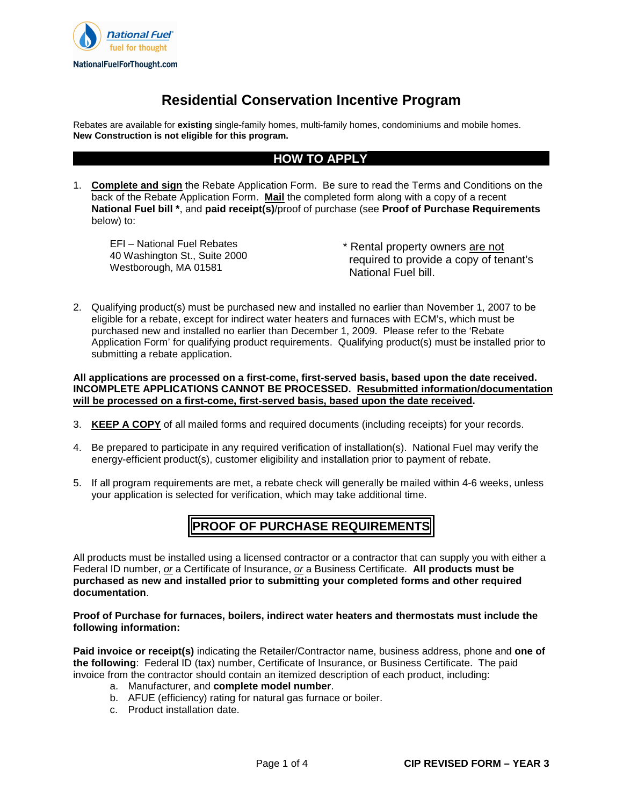

## **Residential Conservation Incentive Program**

Rebates are available for **existing** single-family homes, multi-family homes, condominiums and mobile homes. **New Construction is not eligible for this program.** 

## **HOW TO APPLY**

1. **Complete and sign** the Rebate Application Form. Be sure to read the Terms and Conditions on the back of the Rebate Application Form. **Mail** the completed form along with a copy of a recent **National Fuel bill \***, and **paid receipt(s)**/proof of purchase (see **Proof of Purchase Requirements**  below) to:

EFI – National Fuel Rebates 40 Washington St., Suite 2000 Westborough, MA 01581

\* Rental property owners are not required to provide a copy of tenant's National Fuel bill.

2. Qualifying product(s) must be purchased new and installed no earlier than November 1, 2007 to be eligible for a rebate, except for indirect water heaters and furnaces with ECM's, which must be purchased new and installed no earlier than December 1, 2009. Please refer to the 'Rebate Application Form' for qualifying product requirements. Qualifying product(s) must be installed prior to submitting a rebate application.

### **All applications are processed on a first-come, first-served basis, based upon the date received. INCOMPLETE APPLICATIONS CANNOT BE PROCESSED. Resubmitted information/documentation will be processed on a first-come, first-served basis, based upon the date received.**

- 3. **KEEP A COPY** of all mailed forms and required documents (including receipts) for your records.
- 4. Be prepared to participate in any required verification of installation(s). National Fuel may verify the energy-efficient product(s), customer eligibility and installation prior to payment of rebate.
- 5. If all program requirements are met, a rebate check will generally be mailed within 4-6 weeks, unless your application is selected for verification, which may take additional time.

## **PROOF OF PURCHASE REQUIREMENTS**

All products must be installed using a licensed contractor or a contractor that can supply you with either a Federal ID number, or a Certificate of Insurance, or a Business Certificate. **All products must be purchased as new and installed prior to submitting your completed forms and other required documentation**.

### **Proof of Purchase for furnaces, boilers, indirect water heaters and thermostats must include the following information:**

**Paid invoice or receipt(s)** indicating the Retailer/Contractor name, business address, phone and **one of the following**: Federal ID (tax) number, Certificate of Insurance, or Business Certificate. The paid invoice from the contractor should contain an itemized description of each product, including:

- a. Manufacturer, and **complete model number**.
- b. AFUE (efficiency) rating for natural gas furnace or boiler.
- c. Product installation date.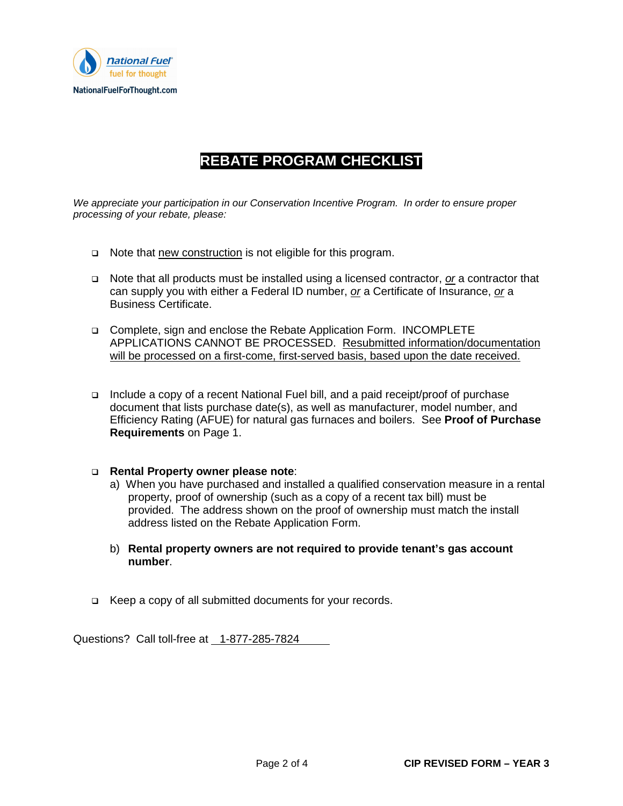

# **REBATE PROGRAM CHECKLIST**

We appreciate your participation in our Conservation Incentive Program. In order to ensure proper processing of your rebate, please:

- □ Note that new construction is not eligible for this program.
- $\Box$  Note that all products must be installed using a licensed contractor, or a contractor that can supply you with either a Federal ID number, or a Certificate of Insurance, or a Business Certificate.
- Complete, sign and enclose the Rebate Application Form. INCOMPLETE APPLICATIONS CANNOT BE PROCESSED. Resubmitted information/documentation will be processed on a first-come, first-served basis, based upon the date received.
- Include a copy of a recent National Fuel bill, and a paid receipt/proof of purchase document that lists purchase date(s), as well as manufacturer, model number, and Efficiency Rating (AFUE) for natural gas furnaces and boilers. See **Proof of Purchase Requirements** on Page 1.

### **Rental Property owner please note**:

- a) When you have purchased and installed a qualified conservation measure in a rental property, proof of ownership (such as a copy of a recent tax bill) must be provided. The address shown on the proof of ownership must match the install address listed on the Rebate Application Form.
- b) **Rental property owners are not required to provide tenant's gas account number**.
- □ Keep a copy of all submitted documents for your records.

Questions? Call toll-free at 1-877-285-7824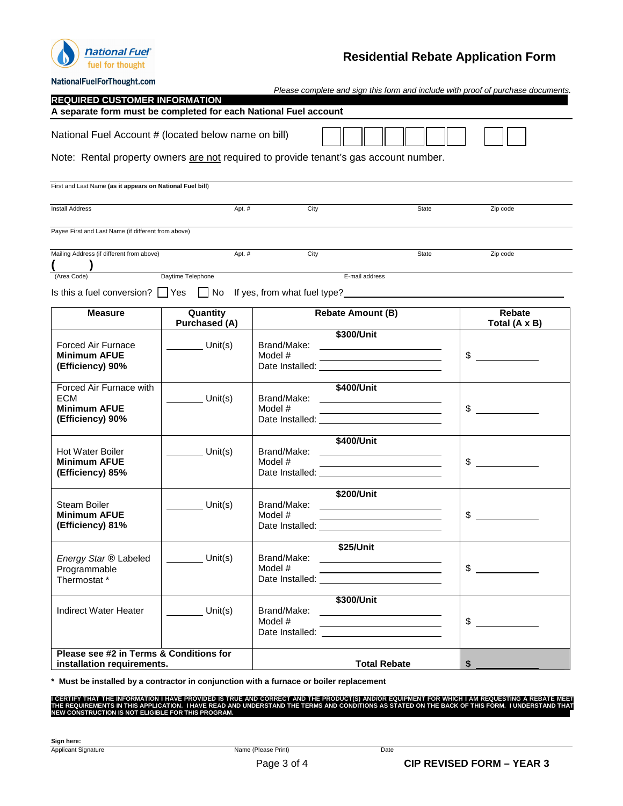

## **Residential Rebate Application Form**

| NationalFuelForThought.com                                                            |                                                |                                                                                                                                                                                                                                                                      |                                                                                                                                     |                                                                                                                                                                         |
|---------------------------------------------------------------------------------------|------------------------------------------------|----------------------------------------------------------------------------------------------------------------------------------------------------------------------------------------------------------------------------------------------------------------------|-------------------------------------------------------------------------------------------------------------------------------------|-------------------------------------------------------------------------------------------------------------------------------------------------------------------------|
| <b>REQUIRED CUSTOMER INFORMATION</b>                                                  |                                                |                                                                                                                                                                                                                                                                      |                                                                                                                                     | Please complete and sign this form and include with proof of purchase documents.                                                                                        |
| A separate form must be completed for each National Fuel account                      |                                                |                                                                                                                                                                                                                                                                      |                                                                                                                                     |                                                                                                                                                                         |
| National Fuel Account # (located below name on bill)                                  |                                                |                                                                                                                                                                                                                                                                      |                                                                                                                                     |                                                                                                                                                                         |
| Note: Rental property owners are not required to provide tenant's gas account number. |                                                |                                                                                                                                                                                                                                                                      |                                                                                                                                     |                                                                                                                                                                         |
| First and Last Name (as it appears on National Fuel bill)                             |                                                |                                                                                                                                                                                                                                                                      |                                                                                                                                     |                                                                                                                                                                         |
| <b>Install Address</b>                                                                | Apt. #<br>City<br>State                        |                                                                                                                                                                                                                                                                      | Zip code                                                                                                                            |                                                                                                                                                                         |
| Payee First and Last Name (if different from above)                                   |                                                |                                                                                                                                                                                                                                                                      |                                                                                                                                     |                                                                                                                                                                         |
| Mailing Address (if different from above)                                             | Apt. #<br>City<br>State                        |                                                                                                                                                                                                                                                                      | Zip code                                                                                                                            |                                                                                                                                                                         |
| (Area Code)                                                                           | Daytime Telephone                              |                                                                                                                                                                                                                                                                      | E-mail address                                                                                                                      |                                                                                                                                                                         |
| Is this a fuel conversion? $\Box$ Yes $\Box$ No If yes, from what fuel type?          |                                                |                                                                                                                                                                                                                                                                      |                                                                                                                                     |                                                                                                                                                                         |
| <b>Measure</b>                                                                        | Quantity<br><b>Purchased (A)</b>               |                                                                                                                                                                                                                                                                      | <b>Rebate Amount (B)</b>                                                                                                            | Rebate<br>Total (A x B)                                                                                                                                                 |
| <b>Forced Air Furnace</b><br><b>Minimum AFUE</b><br>(Efficiency) 90%                  | $\frac{1}{\sqrt{1-\frac{1}{2}}}\text{Unit(s)}$ | Model #                                                                                                                                                                                                                                                              | \$300/Unit<br><u> 1989 - Johann Barn, mars ann an t-Amhair ann an t-Amhair an t-Amhair ann an t-Amhair an t-Amhair ann an t-Amh</u> | \$                                                                                                                                                                      |
| Forced Air Furnace with<br><b>ECM</b><br><b>Minimum AFUE</b><br>(Efficiency) 90%      | Unit(s)                                        | Brand/Make:<br>Model #                                                                                                                                                                                                                                               | \$400/Unit<br><u> 1989 - Johann Barn, mars an t-Amerikaansk politiker (</u>                                                         | $\begin{array}{c} \begin{array}{c} \begin{array}{c} \begin{array}{c} \end{array} \\ \begin{array}{c} \end{array} \end{array} \end{array} \end{array} \end{array}$<br>\$ |
| <b>Hot Water Boiler</b><br><b>Minimum AFUE</b><br>(Efficiency) 85%                    | Unit(s)                                        | Model #                                                                                                                                                                                                                                                              | \$400/Unit<br><u> 1989 - Johann Stoff, Amerikaansk politiker († 1908)</u>                                                           | \$                                                                                                                                                                      |
| <b>Steam Boiler</b><br><b>Minimum AFUE</b><br>(Efficiency) 81%                        | $\nu$ Unit(s)                                  | Brand/Make:<br>Model #<br>Date Installed:                                                                                                                                                                                                                            | \$200/Unit                                                                                                                          | \$                                                                                                                                                                      |
| Energy Star ® Labeled<br>Programmable<br>Thermostat *                                 | Unit $(s)$                                     | Brand/Make: ___________<br>Model #<br>Date Installed: University of the University of the University of the University of the University of the University of the University of the University of the University of the University of the University of the Universi | \$25/Unit                                                                                                                           | \$                                                                                                                                                                      |
| <b>Indirect Water Heater</b>                                                          | Unit(s)                                        | Brand/Make:<br>Model #                                                                                                                                                                                                                                               | \$300/Unit                                                                                                                          | \$                                                                                                                                                                      |
| Please see #2 in Terms & Conditions for<br>installation requirements.                 |                                                |                                                                                                                                                                                                                                                                      | <b>Total Rebate</b>                                                                                                                 | \$                                                                                                                                                                      |

**\* Must be installed by a contractor in conjunction with a furnace or boiler replacement** 

I CERTIFY THAT THE INFORMATION I HAVE PROVIDED IS TRUE AND CORRECT AND THE PRODUCT(S) AND/OR EQUIPMENT FOR WHICH I AM REQUESTING A REBATE MEET<br>THE REQUIREMENTS IN THIS APPLICATION. I HAVE READ AND UNDERSTAND THE TERMS AND